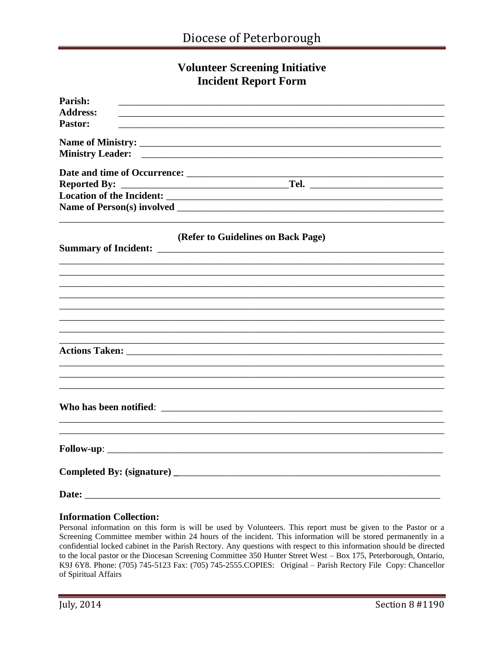## **Volunteer Screening Initiative Incident Report Form**

| Parish:             |                                                                                                                       |
|---------------------|-----------------------------------------------------------------------------------------------------------------------|
| <b>Address:</b>     | <u> 1989 - Johann Barn, mars ann an t-Amhain an t-Amhain an t-Amhain an t-Amhain an t-Amhain an t-Amhain an t-Amh</u> |
| <b>Pastor:</b>      |                                                                                                                       |
|                     |                                                                                                                       |
|                     |                                                                                                                       |
|                     |                                                                                                                       |
|                     |                                                                                                                       |
| <b>Reported By:</b> |                                                                                                                       |
|                     |                                                                                                                       |
|                     |                                                                                                                       |
|                     | (Refer to Guidelines on Back Page)                                                                                    |
|                     |                                                                                                                       |
|                     | ,我们也不会有什么。""我们的人,我们也不会有什么?""我们的人,我们也不会有什么?""我们的人,我们也不会有什么?""我们的人,我们也不会有什么?""我们的人                                      |
|                     |                                                                                                                       |
|                     |                                                                                                                       |
|                     |                                                                                                                       |
|                     |                                                                                                                       |
|                     |                                                                                                                       |
|                     |                                                                                                                       |
|                     |                                                                                                                       |
|                     |                                                                                                                       |
|                     | ,我们也不能在这里的时候,我们也不能在这里的时候,我们也不能会在这里的时候,我们也不能会在这里的时候,我们也不能会在这里的时候,我们也不能会在这里的时候,我们也不                                     |
|                     |                                                                                                                       |
|                     |                                                                                                                       |
|                     |                                                                                                                       |
|                     |                                                                                                                       |
|                     |                                                                                                                       |
|                     |                                                                                                                       |
|                     |                                                                                                                       |
|                     |                                                                                                                       |
|                     |                                                                                                                       |
| Date:               |                                                                                                                       |

## **Information Collection:**

Personal information on this form is will be used by Volunteers. This report must be given to the Pastor or a Screening Committee member within 24 hours of the incident. This information will be stored permanently in a confidential locked cabinet in the Parish Rectory. Any questions with respect to this information should be directed to the local pastor or the Diocesan Screening Committee 350 Hunter Street West - Box 175, Peterborough, Ontario, K9J 6Y8. Phone: (705) 745-5123 Fax: (705) 745-2555. COPIES: Original - Parish Rectory File Copy: Chancellor of Spiritual Affairs